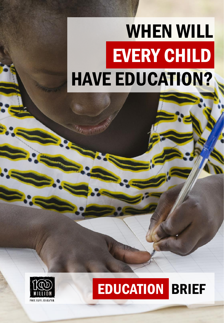# WHEN WILL EVERY CHILD HAVE EDUCATION?



## EDUCATION BRIEF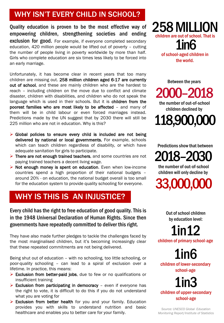## WHY ISN'T EVERY CHILD IN SCHOOL?

Quality education is proven to be the most effective way of empowering children, strengthening societies and ending exclusion for good. For example, if everyone completed secondary education, 420 million people would be lifted out of poverty – cutting the number of people living in poverty worldwide by more than half. Girls who complete education are six times less likely to be forced into an early marriage.

Unfortunately, it has become clear in recent years that too many children are missing out. 258 million children aged 6-17 are currently out of school, and these are mainly children who are the hardest to reach – including children on the move due to conflict and climate disaster, children with disabilities, and children who do not speak the language which is used in their schools. But it is children from the poorest families who are most likely to be affected – and many of them will be in child labour or even forced marriages instead. Predictions made by the UN suggest that by 2030 there will still be 225 million who are not in education. Why is this?

- $\triangleright$  Global policies to ensure every child is included are not being delivered by national or local governments. For example, schools which can teach children regardless of disability, or which have adequate sanitation for girls to participate.
- ➢ There are not enough trained teachers, and some countries are not paying trained teachers a decent living wage.
- ➢ Not enough money is spent on education. Even when low-income countries spend a high proportion of their national budgets – around 20% - on education, the national budget overall is too small for the education system to provide quality schooling for everyone.

## WHY IS THIS IS AN INJUSTICE?

Every child has the right to free education of good quality. This is in the 1948 Universal Declaration of Human Rights. Since then governments have repeatedly committed to deliver this right.

They have also made further pledges to tackle the challenges faced by the most marginalised children, but it's becoming increasingly clear that these repeated commitments are not being delivered.

Being shut out of education – with no schooling, too little schooling, or poor-quality schooling – can lead to a spiral of exclusion over a lifetime. In practice, this means:

- ➢ Exclusion from better-paid jobs, due to few or no qualifications or insufficient training
- $\triangleright$  Exclusion from participating in democracy even if everyone has the right to vote, it is difficult to do this if you do not understand what you are voting for
- ➢ Exclusion from better health for you and your family. Education provides you with skills to understand nutrition and basic healthcare and enables you to better care for your family.

258 MILLION children are out of school. That is 1in6 of school-aged children in the world.

the number of out-of-school Between the years 2000–2018

118,900,000 children declined by

Predictions show that between

2018–2030

the number of out-of-school children will only decline by

33,000,000

Out of school children by education level:

1in12 children of primary school-age

1in6 children of lower-secondary school-age

1in3 children of upper-secondary school-age

*Source: UNESCO Global Education Monitoring Report/Institute of Statistics*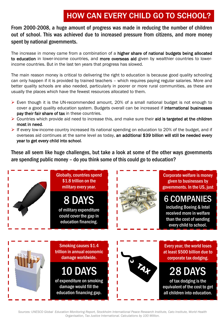## HOW CAN EVERY CHILD GO TO SCHOOL?

From 2000-2008, a huge amount of progress was made in reducing the number of children out of school. This was achieved due to increased pressure from citizens, and more money spent by national governments.

The increase in money came from a combination of a higher share of national budgets being allocated to education in lower-income countries, and more overseas aid given by wealthier countries to lowerincome countries. But in the last ten years that progress has slowed.

The main reason money is critical to delivering the right to education is because good quality schooling can only happen if it is provided by trained teachers – which requires paying regular salaries. More and better quality schools are also needed, particularly in poorer or more rural communities, as these are usually the places which have the fewest resources allocated to them.

- $\triangleright$  Even though it is the UN-recommended amount, 20% of a small national budget is not enough to cover a good quality education system. Budgets overall can be increased if international businesses pay their fair share of tax in these countries.
- $\triangleright$  Countries which provide aid need to increase this, and make sure their aid is targeted at the children most in need.
- $\triangleright$  If every low-income country increased its national spending on education to 20% of the budget, and if overseas aid continues at the same level as today, an additional \$39 billion will still be needed every year to get every child into school.

These all seem like huge challenges, but take a look at some of the other ways governments are spending public money – do you think some of this could go to education?